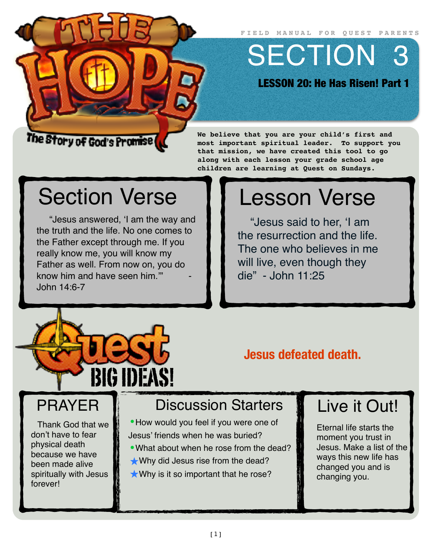**FIELD MANUAL FOR QUEST PARENTS**

SECTION 3

LESSON 20: He Has Risen! Part 1

#### The Story of God's Promise (

#### **We believe that you are your child's first and most important spiritual leader. To support you that mission, we have created this tool to go along with each lesson your grade school age children are learning at Quest on Sundays.**

# Section Verse

"Jesus answered, 'I am the way and the truth and the life. No one comes to the Father except through me. If you really know me, you will know my Father as well. From now on, you do know him and have seen him." John 14:6-7

# Lesson Verse

"Jesus said to her, 'I am the resurrection and the life. The one who believes in me will live, even though they die" - John 11:25



### **Jesus defeated death.**

# PRAYER

Thank God that we don't have to fear physical death because we have been made alive spiritually with Jesus forever!

# Discussion Starters

- How would you feel if you were one of Jesus' friends when he was buried?
- •What about when he rose from the dead?
- ★Why did Jesus rise from the dead?
- $\star$  Why is it so important that he rose?

# Live it Out!

Eternal life starts the moment you trust in Jesus. Make a list of the ways this new life has changed you and is changing you.